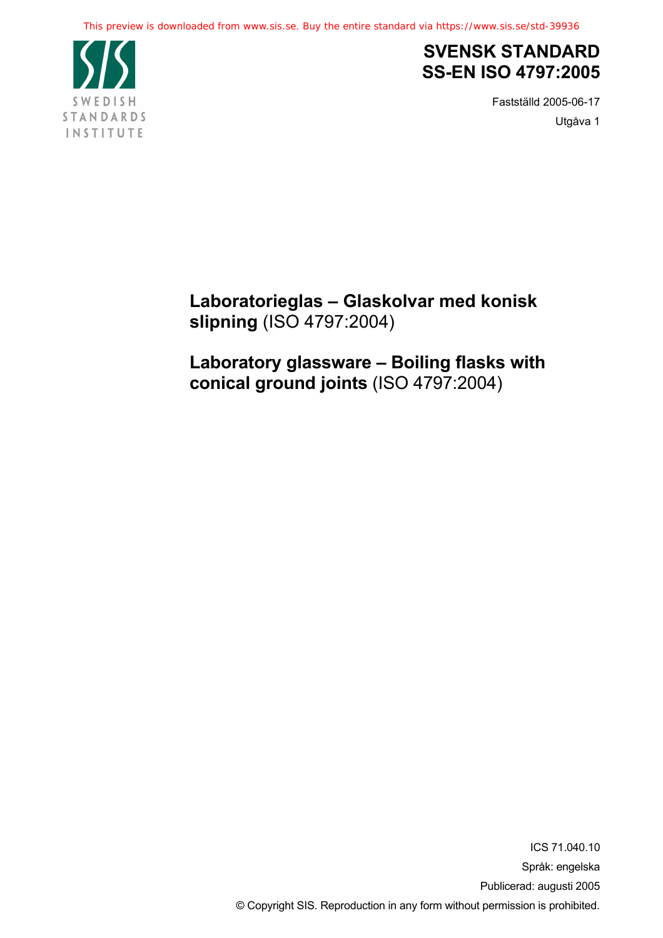

## **SVENSK STANDARD SS-EN ISO 4797:2005**

Fastställd 2005-06-17 Utgåva 1

**Laboratorieglas – Glaskolvar med konisk slipning** (ISO 4797:2004)

**Laboratory glassware – Boiling flasks with conical ground joints** (ISO 4797:2004)

> ICS 71.040.10 Språk: engelska Publicerad: augusti 2005 © Copyright SIS. Reproduction in any form without permission is prohibited.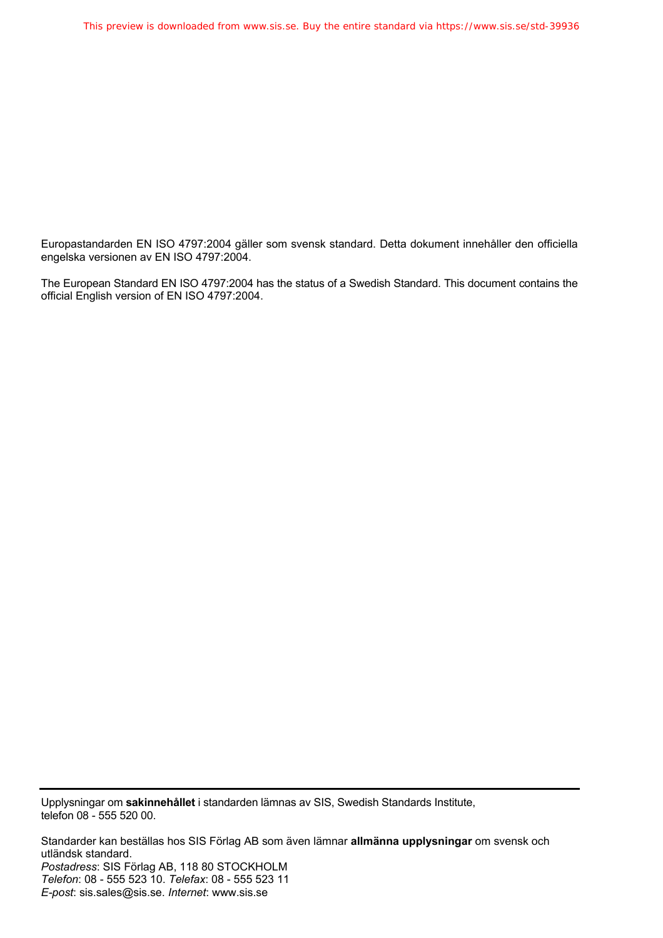Europastandarden EN ISO 4797:2004 gäller som svensk standard. Detta dokument innehåller den officiella engelska versionen av EN ISO 4797:2004.

The European Standard EN ISO 4797:2004 has the status of a Swedish Standard. This document contains the official English version of EN ISO 4797:2004.

Upplysningar om **sakinnehållet** i standarden lämnas av SIS, Swedish Standards Institute, telefon 08 - 555 520 00.

Standarder kan beställas hos SIS Förlag AB som även lämnar **allmänna upplysningar** om svensk och utländsk standard. *Postadress*: SIS Förlag AB, 118 80 STOCKHOLM *Telefon*: 08 - 555 523 10. *Telefax*: 08 - 555 523 11 *E-post*: sis.sales@sis.se. *Internet*: www.sis.se